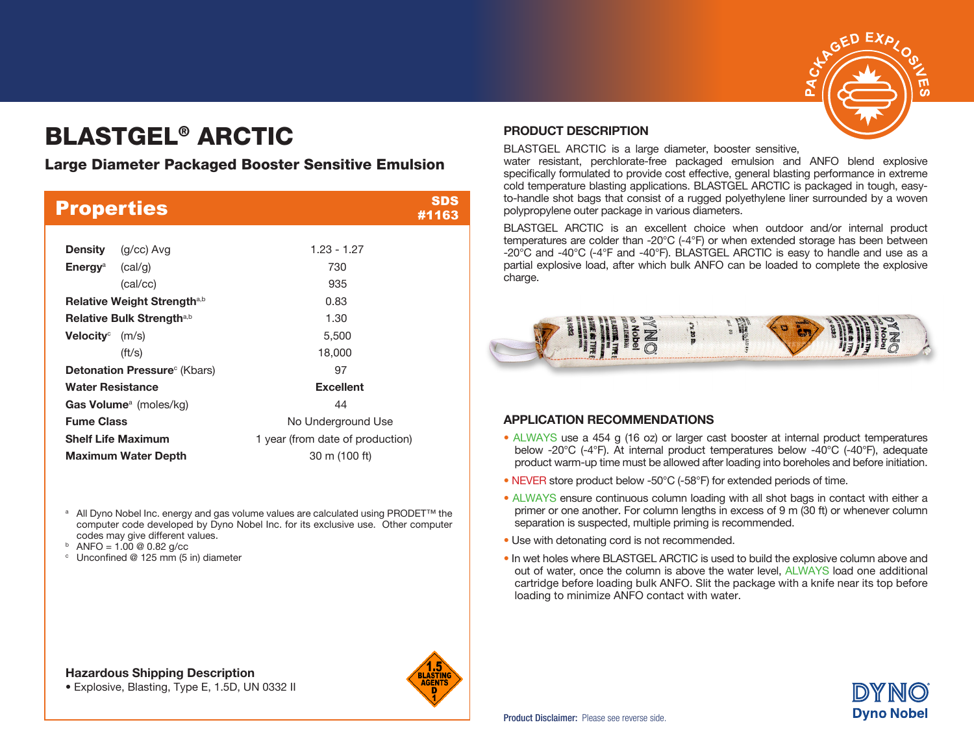

# BLASTGEL® ARCTIC

### Large Diameter Packaged Booster Sensitive Emulsion

|                                         | <b>Properties</b> | SDS<br>#1163                     |  |  |
|-----------------------------------------|-------------------|----------------------------------|--|--|
|                                         |                   |                                  |  |  |
| Density                                 | (g/cc) Avg        | $1.23 - 1.27$                    |  |  |
| <b>Energy</b> <sup>a</sup> (cal/g)      |                   | 730                              |  |  |
|                                         | (cal/cc)          | 935                              |  |  |
| Relative Weight Strength <sup>a,b</sup> |                   | 0.83                             |  |  |
| Relative Bulk Strength <sup>a,b</sup>   |                   | 1.30                             |  |  |
| Velocity $^\circ$                       | (m/s)             | 5,500                            |  |  |
|                                         | $({\rm ft/s})$    | 18,000                           |  |  |
| <b>Detonation Pressure</b> (Kbars)      |                   | 97                               |  |  |
| <b>Water Resistance</b>                 |                   | <b>Excellent</b>                 |  |  |
| Gas Volume <sup>a</sup> (moles/kg)      |                   | 44                               |  |  |
| <b>Fume Class</b>                       |                   | No Underground Use               |  |  |
| <b>Shelf Life Maximum</b>               |                   | 1 year (from date of production) |  |  |
| <b>Maximum Water Depth</b>              |                   | 30 m (100 ft)                    |  |  |

- <sup>a</sup> All Dyno Nobel Inc. energy and gas volume values are calculated using PRODET<sup>™</sup> the computer code developed by Dyno Nobel Inc. for its exclusive use. Other computer codes may give different values.<br>  $\frac{b}{c}$  ANFO = 1.00 @ 0.82 g/cc
- 
- $\degree$  Unconfined @ 125 mm (5 in) diameter

### Hazardous Shipping Description

• Explosive, Blasting, Type E, 1.5D, UN 0332 II



#### PRODUCT DESCRIPTION

BLASTGEL ARCTIC is a large diameter, booster sensitive,

water resistant, perchlorate-free packaged emulsion and ANFO blend explosive specifically formulated to provide cost effective, general blasting performance in extreme cold temperature blasting applications. BLASTGEL ARCTIC is packaged in tough, easyto-handle shot bags that consist of a rugged polyethylene liner surrounded by a woven polypropylene outer package in various diameters.

BLASTGEL ARCTIC is an excellent choice when outdoor and/or internal product temperatures are colder than -20°C (-4°F) or when extended storage has been between -20°C and -40°C (-4°F and -40°F). BLASTGEL ARCTIC is easy to handle and use as a partial explosive load, after which bulk ANFO can be loaded to complete the explosive charge.



### APPLICATION RECOMMENDATIONS

- ALWAYS use a 454 g (16 oz) or larger cast booster at internal product temperatures below -20°C (-4°F). At internal product temperatures below -40°C (-40°F), adequate product warm-up time must be allowed after loading into boreholes and before initiation.
- NEVER store product below -50°C (-58°F) for extended periods of time.
- ALWAYS ensure continuous column loading with all shot bags in contact with either a primer or one another. For column lengths in excess of 9 m (30 ft) or whenever column separation is suspected, multiple priming is recommended.
- Use with detonating cord is not recommended.
- In wet holes where BLASTGEL ARCTIC is used to build the explosive column above and out of water, once the column is above the water level, ALWAYS load one additional cartridge before loading bulk ANFO. Slit the package with a knife near its top before loading to minimize ANFO contact with water.